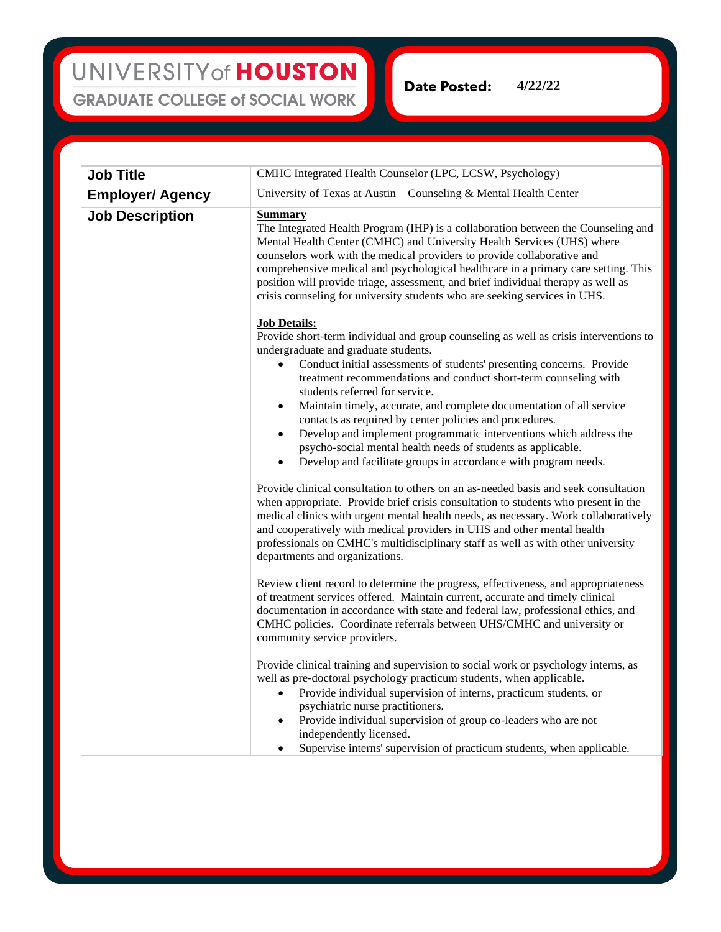**Date Posted: 4/22/22**

| <b>Job Title</b>        | CMHC Integrated Health Counselor (LPC, LCSW, Psychology)                                                                                                                                                                                                                                                                                                                                                                                                                                                                                                                                                                                                                                                       |
|-------------------------|----------------------------------------------------------------------------------------------------------------------------------------------------------------------------------------------------------------------------------------------------------------------------------------------------------------------------------------------------------------------------------------------------------------------------------------------------------------------------------------------------------------------------------------------------------------------------------------------------------------------------------------------------------------------------------------------------------------|
| <b>Employer/ Agency</b> | University of Texas at Austin - Counseling $&$ Mental Health Center                                                                                                                                                                                                                                                                                                                                                                                                                                                                                                                                                                                                                                            |
| <b>Job Description</b>  | <b>Summary</b><br>The Integrated Health Program (IHP) is a collaboration between the Counseling and<br>Mental Health Center (CMHC) and University Health Services (UHS) where<br>counselors work with the medical providers to provide collaborative and<br>comprehensive medical and psychological healthcare in a primary care setting. This<br>position will provide triage, assessment, and brief individual therapy as well as<br>crisis counseling for university students who are seeking services in UHS.                                                                                                                                                                                              |
|                         | <b>Job Details:</b><br>Provide short-term individual and group counseling as well as crisis interventions to<br>undergraduate and graduate students.<br>Conduct initial assessments of students' presenting concerns. Provide<br>$\bullet$<br>treatment recommendations and conduct short-term counseling with<br>students referred for service.<br>Maintain timely, accurate, and complete documentation of all service<br>$\bullet$<br>contacts as required by center policies and procedures.<br>Develop and implement programmatic interventions which address the<br>٠<br>psycho-social mental health needs of students as applicable.<br>Develop and facilitate groups in accordance with program needs. |
|                         | Provide clinical consultation to others on an as-needed basis and seek consultation<br>when appropriate. Provide brief crisis consultation to students who present in the<br>medical clinics with urgent mental health needs, as necessary. Work collaboratively<br>and cooperatively with medical providers in UHS and other mental health<br>professionals on CMHC's multidisciplinary staff as well as with other university<br>departments and organizations.                                                                                                                                                                                                                                              |
|                         | Review client record to determine the progress, effectiveness, and appropriateness<br>of treatment services offered. Maintain current, accurate and timely clinical<br>documentation in accordance with state and federal law, professional ethics, and<br>CMHC policies. Coordinate referrals between UHS/CMHC and university or<br>community service providers.                                                                                                                                                                                                                                                                                                                                              |
|                         | Provide clinical training and supervision to social work or psychology interns, as<br>well as pre-doctoral psychology practicum students, when applicable.<br>Provide individual supervision of interns, practicum students, or<br>psychiatric nurse practitioners.<br>Provide individual supervision of group co-leaders who are not<br>$\bullet$<br>independently licensed.<br>Supervise interns' supervision of practicum students, when applicable.                                                                                                                                                                                                                                                        |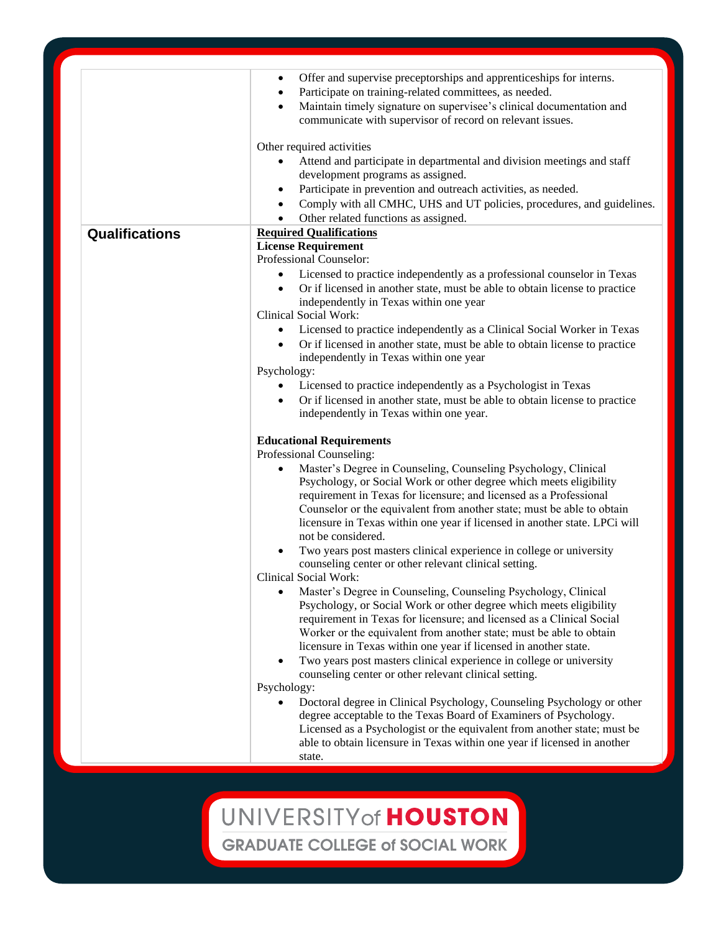|                | Offer and supervise preceptorships and apprenticeships for interns.<br>٠<br>Participate on training-related committees, as needed.<br>$\bullet$                                                                                                                                                                                                                                                                                                                                                                                                                                                                                                                                                                                                                                                                                                                                                                                                                                                                                                                                                                                                                                                                                                                                                                                                                                                                                                                                                                                                                                                                                                                                                                                                                                                                                                                                                                                                                                                                                                                                                                                                                                                                                     |
|----------------|-------------------------------------------------------------------------------------------------------------------------------------------------------------------------------------------------------------------------------------------------------------------------------------------------------------------------------------------------------------------------------------------------------------------------------------------------------------------------------------------------------------------------------------------------------------------------------------------------------------------------------------------------------------------------------------------------------------------------------------------------------------------------------------------------------------------------------------------------------------------------------------------------------------------------------------------------------------------------------------------------------------------------------------------------------------------------------------------------------------------------------------------------------------------------------------------------------------------------------------------------------------------------------------------------------------------------------------------------------------------------------------------------------------------------------------------------------------------------------------------------------------------------------------------------------------------------------------------------------------------------------------------------------------------------------------------------------------------------------------------------------------------------------------------------------------------------------------------------------------------------------------------------------------------------------------------------------------------------------------------------------------------------------------------------------------------------------------------------------------------------------------------------------------------------------------------------------------------------------------|
|                | Maintain timely signature on supervisee's clinical documentation and<br>communicate with supervisor of record on relevant issues.                                                                                                                                                                                                                                                                                                                                                                                                                                                                                                                                                                                                                                                                                                                                                                                                                                                                                                                                                                                                                                                                                                                                                                                                                                                                                                                                                                                                                                                                                                                                                                                                                                                                                                                                                                                                                                                                                                                                                                                                                                                                                                   |
|                | Other required activities<br>Attend and participate in departmental and division meetings and staff<br>development programs as assigned.<br>Participate in prevention and outreach activities, as needed.<br>٠<br>Comply with all CMHC, UHS and UT policies, procedures, and guidelines.<br>$\bullet$<br>Other related functions as assigned.<br>$\bullet$                                                                                                                                                                                                                                                                                                                                                                                                                                                                                                                                                                                                                                                                                                                                                                                                                                                                                                                                                                                                                                                                                                                                                                                                                                                                                                                                                                                                                                                                                                                                                                                                                                                                                                                                                                                                                                                                          |
| Qualifications | <b>Required Qualifications</b><br><b>License Requirement</b><br>Professional Counselor:<br>Licensed to practice independently as a professional counselor in Texas<br>Or if licensed in another state, must be able to obtain license to practice<br>independently in Texas within one year<br><b>Clinical Social Work:</b><br>Licensed to practice independently as a Clinical Social Worker in Texas<br>Or if licensed in another state, must be able to obtain license to practice<br>independently in Texas within one year<br>Psychology:<br>Licensed to practice independently as a Psychologist in Texas<br>٠<br>Or if licensed in another state, must be able to obtain license to practice<br>$\bullet$<br>independently in Texas within one year.<br><b>Educational Requirements</b><br>Professional Counseling:<br>Master's Degree in Counseling, Counseling Psychology, Clinical<br>$\bullet$<br>Psychology, or Social Work or other degree which meets eligibility<br>requirement in Texas for licensure; and licensed as a Professional<br>Counselor or the equivalent from another state; must be able to obtain<br>licensure in Texas within one year if licensed in another state. LPCi will<br>not be considered.<br>Two years post masters clinical experience in college or university<br>counseling center or other relevant clinical setting.<br><b>Clinical Social Work:</b><br>Master's Degree in Counseling, Counseling Psychology, Clinical<br>Psychology, or Social Work or other degree which meets eligibility<br>requirement in Texas for licensure; and licensed as a Clinical Social<br>Worker or the equivalent from another state; must be able to obtain<br>licensure in Texas within one year if licensed in another state.<br>Two years post masters clinical experience in college or university<br>٠<br>counseling center or other relevant clinical setting.<br>Psychology:<br>Doctoral degree in Clinical Psychology, Counseling Psychology or other<br>degree acceptable to the Texas Board of Examiners of Psychology.<br>Licensed as a Psychologist or the equivalent from another state; must be<br>able to obtain licensure in Texas within one year if licensed in another<br>state. |

## UNIVERSITY of HOUSTON

**GRADUATE COLLEGE of SOCIAL WORK**